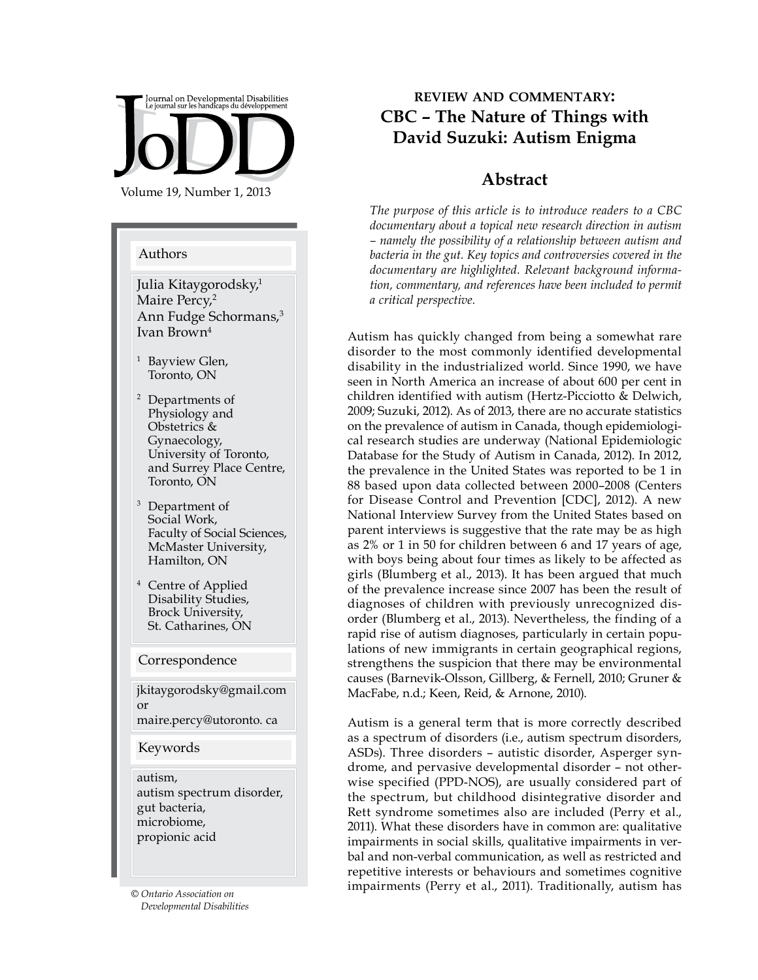

#### Authors

Julia Kitaygorodsky,<sup>1</sup> Maire Percy,<sup>2</sup> Ann Fudge Schormans,<sup>3</sup> Ivan Brown4

- <sup>1</sup> Bayview Glen, Toronto, ON
- <sup>2</sup> Departments of Physiology and Obstetrics & Gynaecology, University of Toronto, and Surrey Place Centre, Toronto, ON
- Department of Social Work, Faculty of Social Sciences, McMaster University, Hamilton, ON
- Centre of Applied Disability Studies, Brock University, St. Catharines, ON

#### Correspondence

jkitaygorodsky@gmail.com or maire.percy@utoronto. ca

#### Keywords

autism, autism spectrum disorder, gut bacteria, microbiome, propionic acid

*Developmental Disabilities*

# **review and commentary: CBC – The Nature of Things with David Suzuki: Autism Enigma**

### **Abstract**

*The purpose of this article is to introduce readers to a CBC documentary about a topical new research direction in autism – namely the possibility of a relationship between autism and bacteria in the gut. Key topics and controversies covered in the documentary are highlighted. Relevant background information, commentary, and references have been included to permit a critical perspective.*

Autism has quickly changed from being a somewhat rare disorder to the most commonly identified developmental disability in the industrialized world. Since 1990, we have seen in North America an increase of about 600 per cent in children identified with autism (Hertz-Picciotto & Delwich, 2009; Suzuki, 2012). As of 2013, there are no accurate statistics on the prevalence of autism in Canada, though epidemiological research studies are underway (National Epidemiologic Database for the Study of Autism in Canada, 2012). In 2012, the prevalence in the United States was reported to be 1 in 88 based upon data collected between 2000–2008 (Centers for Disease Control and Prevention [CDC], 2012). A new National Interview Survey from the United States based on parent interviews is suggestive that the rate may be as high as 2% or 1 in 50 for children between 6 and 17 years of age, with boys being about four times as likely to be affected as girls (Blumberg et al., 2013). It has been argued that much of the prevalence increase since 2007 has been the result of diagnoses of children with previously unrecognized disorder (Blumberg et al., 2013). Nevertheless, the finding of a rapid rise of autism diagnoses, particularly in certain populations of new immigrants in certain geographical regions, strengthens the suspicion that there may be environmental causes (Barnevik-Olsson, Gillberg, & Fernell, 2010; Gruner & MacFabe, n.d.; Keen, Reid, & Arnone, 2010).

Autism is a general term that is more correctly described as a spectrum of disorders (i.e., autism spectrum disorders, ASDs). Three disorders – autistic disorder, Asperger syndrome, and pervasive developmental disorder – not otherwise specified (PPD-NOS), are usually considered part of the spectrum, but childhood disintegrative disorder and Rett syndrome sometimes also are included (Perry et al., 2011). What these disorders have in common are: qualitative impairments in social skills, qualitative impairments in verbal and non-verbal communication, as well as restricted and repetitive interests or behaviours and sometimes cognitive impairments (Perry et al., 2011). Traditionally, autism has *© Ontario Association on*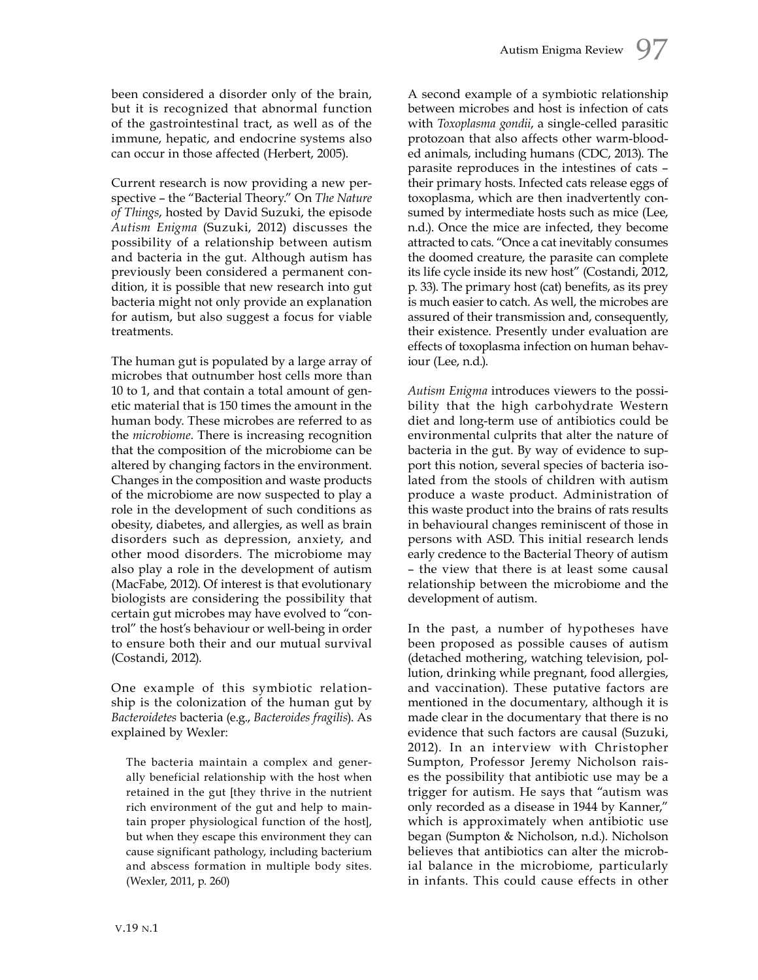been considered a disorder only of the brain, but it is recognized that abnormal function of the gastrointestinal tract, as well as of the immune, hepatic, and endocrine systems also can occur in those affected (Herbert, 2005).

Current research is now providing a new perspective – the "Bacterial Theory." On *The Nature of Things*, hosted by David Suzuki, the episode *Autism Enigma* (Suzuki, 2012) discusses the possibility of a relationship between autism and bacteria in the gut. Although autism has previously been considered a permanent condition, it is possible that new research into gut bacteria might not only provide an explanation for autism, but also suggest a focus for viable treatments.

The human gut is populated by a large array of microbes that outnumber host cells more than 10 to 1, and that contain a total amount of genetic material that is 150 times the amount in the human body. These microbes are referred to as the *microbiome.* There is increasing recognition that the composition of the microbiome can be altered by changing factors in the environment. Changes in the composition and waste products of the microbiome are now suspected to play a role in the development of such conditions as obesity, diabetes, and allergies, as well as brain disorders such as depression, anxiety, and other mood disorders. The microbiome may also play a role in the development of autism (MacFabe, 2012). Of interest is that evolutionary biologists are considering the possibility that certain gut microbes may have evolved to "control" the host's behaviour or well-being in order to ensure both their and our mutual survival (Costandi, 2012).

One example of this symbiotic relationship is the colonization of the human gut by *Bacteroidetes* bacteria (e.g., *Bacteroides fragilis*). As explained by Wexler:

The bacteria maintain a complex and generally beneficial relationship with the host when retained in the gut [they thrive in the nutrient rich environment of the gut and help to maintain proper physiological function of the host], but when they escape this environment they can cause significant pathology, including bacterium and abscess formation in multiple body sites. (Wexler, 2011, p. 260)

A second example of a symbiotic relationship between microbes and host is infection of cats with *Toxoplasma gondii*, a single-celled parasitic protozoan that also affects other warm-blooded animals, including humans (CDC, 2013). The parasite reproduces in the intestines of cats – their primary hosts. Infected cats release eggs of toxoplasma, which are then inadvertently consumed by intermediate hosts such as mice (Lee, n.d.). Once the mice are infected, they become attracted to cats. "Once a cat inevitably consumes the doomed creature, the parasite can complete its life cycle inside its new host" (Costandi, 2012, p. 33). The primary host (cat) benefits, as its prey is much easier to catch. As well, the microbes are assured of their transmission and, consequently, their existence. Presently under evaluation are effects of toxoplasma infection on human behaviour (Lee, n.d.).

*Autism Enigma* introduces viewers to the possibility that the high carbohydrate Western diet and long-term use of antibiotics could be environmental culprits that alter the nature of bacteria in the gut. By way of evidence to support this notion, several species of bacteria isolated from the stools of children with autism produce a waste product. Administration of this waste product into the brains of rats results in behavioural changes reminiscent of those in persons with ASD. This initial research lends early credence to the Bacterial Theory of autism – the view that there is at least some causal relationship between the microbiome and the development of autism.

In the past, a number of hypotheses have been proposed as possible causes of autism (detached mothering, watching television, pollution, drinking while pregnant, food allergies, and vaccination). These putative factors are mentioned in the documentary, although it is made clear in the documentary that there is no evidence that such factors are causal (Suzuki, 2012). In an interview with Christopher Sumpton, Professor Jeremy Nicholson raises the possibility that antibiotic use may be a trigger for autism. He says that "autism was only recorded as a disease in 1944 by Kanner," which is approximately when antibiotic use began (Sumpton & Nicholson, n.d.). Nicholson believes that antibiotics can alter the microbial balance in the microbiome, particularly in infants. This could cause effects in other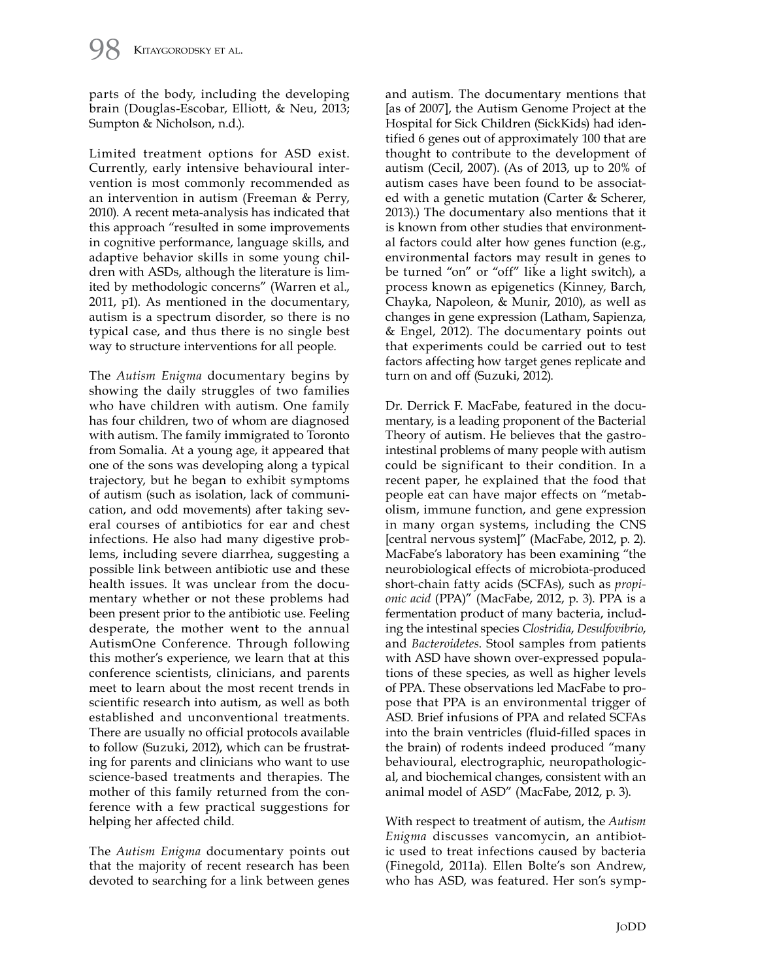parts of the body, including the developing brain (Douglas-Escobar, Elliott, & Neu, 2013; Sumpton & Nicholson, n.d.).

Limited treatment options for ASD exist. Currently, early intensive behavioural intervention is most commonly recommended as an intervention in autism (Freeman & Perry, 2010). A recent meta-analysis has indicated that this approach "resulted in some improvements in cognitive performance, language skills, and adaptive behavior skills in some young children with ASDs, although the literature is limited by methodologic concerns" (Warren et al., 2011, p1). As mentioned in the documentary, autism is a spectrum disorder, so there is no typical case, and thus there is no single best way to structure interventions for all people.

The *Autism Enigma* documentary begins by showing the daily struggles of two families who have children with autism. One family has four children, two of whom are diagnosed with autism. The family immigrated to Toronto from Somalia. At a young age, it appeared that one of the sons was developing along a typical trajectory, but he began to exhibit symptoms of autism (such as isolation, lack of communication, and odd movements) after taking several courses of antibiotics for ear and chest infections. He also had many digestive problems, including severe diarrhea, suggesting a possible link between antibiotic use and these health issues. It was unclear from the documentary whether or not these problems had been present prior to the antibiotic use. Feeling desperate, the mother went to the annual AutismOne Conference. Through following this mother's experience, we learn that at this conference scientists, clinicians, and parents meet to learn about the most recent trends in scientific research into autism, as well as both established and unconventional treatments. There are usually no official protocols available to follow (Suzuki, 2012), which can be frustrating for parents and clinicians who want to use science-based treatments and therapies. The mother of this family returned from the conference with a few practical suggestions for helping her affected child.

The *Autism Enigma* documentary points out that the majority of recent research has been devoted to searching for a link between genes

and autism. The documentary mentions that [as of 2007], the Autism Genome Project at the Hospital for Sick Children (SickKids) had identified 6 genes out of approximately 100 that are thought to contribute to the development of autism (Cecil, 2007). (As of 2013, up to 20% of autism cases have been found to be associated with a genetic mutation (Carter & Scherer, 2013).) The documentary also mentions that it is known from other studies that environmental factors could alter how genes function (e.g., environmental factors may result in genes to be turned "on" or "off" like a light switch), a process known as epigenetics (Kinney, Barch, Chayka, Napoleon, & Munir, 2010), as well as changes in gene expression (Latham, Sapienza, & Engel, 2012). The documentary points out that experiments could be carried out to test factors affecting how target genes replicate and turn on and off (Suzuki, 2012).

Dr. Derrick F. MacFabe, featured in the documentary, is a leading proponent of the Bacterial Theory of autism. He believes that the gastrointestinal problems of many people with autism could be significant to their condition. In a recent paper, he explained that the food that people eat can have major effects on "metabolism, immune function, and gene expression in many organ systems, including the CNS [central nervous system]" (MacFabe, 2012, p. 2). MacFabe's laboratory has been examining "the neurobiological effects of microbiota-produced short-chain fatty acids (SCFAs), such as *propionic acid* (PPA)" (MacFabe, 2012, p. 3). PPA is a fermentation product of many bacteria, including the intestinal species *Clostridia*, *Desulfovibrio*, and *Bacteroidetes*. Stool samples from patients with ASD have shown over-expressed populations of these species, as well as higher levels of PPA. These observations led MacFabe to propose that PPA is an environmental trigger of ASD. Brief infusions of PPA and related SCFAs into the brain ventricles (fluid-filled spaces in the brain) of rodents indeed produced "many behavioural, electrographic, neuropathological, and biochemical changes, consistent with an animal model of ASD" (MacFabe, 2012, p. 3).

With respect to treatment of autism, the *Autism Enigma* discusses vancomycin, an antibiotic used to treat infections caused by bacteria (Finegold, 2011a). Ellen Bolte's son Andrew, who has ASD, was featured. Her son's symp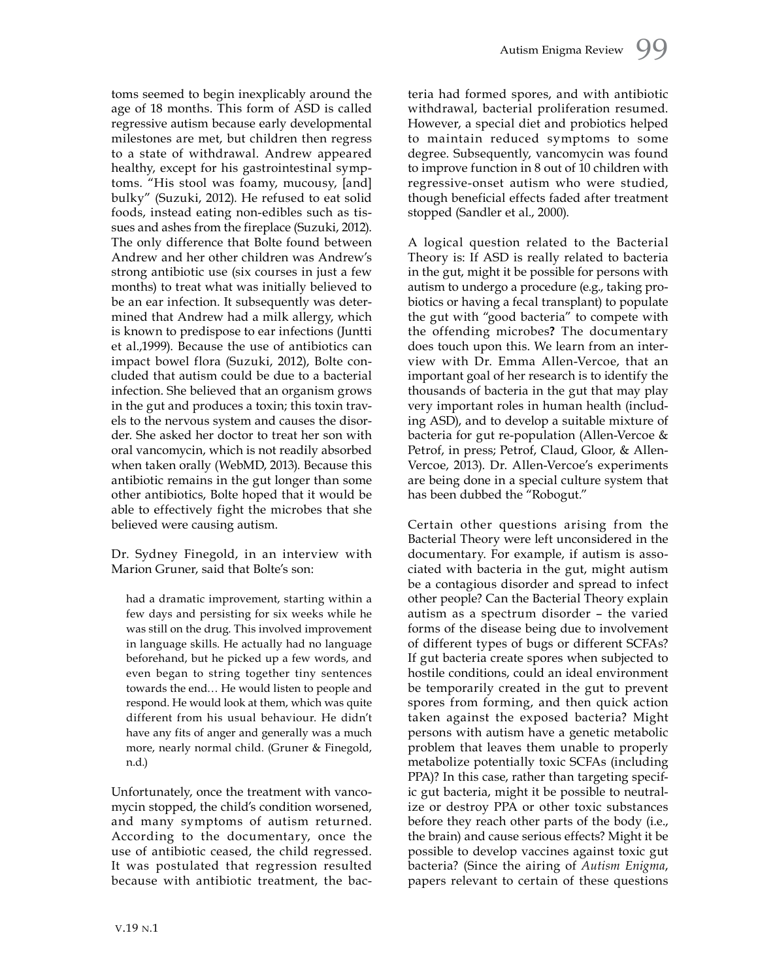toms seemed to begin inexplicably around the age of 18 months. This form of ASD is called regressive autism because early developmental milestones are met, but children then regress to a state of withdrawal. Andrew appeared healthy, except for his gastrointestinal symptoms. "His stool was foamy, mucousy, [and] bulky" (Suzuki, 2012). He refused to eat solid foods, instead eating non-edibles such as tissues and ashes from the fireplace (Suzuki, 2012). The only difference that Bolte found between Andrew and her other children was Andrew's strong antibiotic use (six courses in just a few months) to treat what was initially believed to be an ear infection. It subsequently was determined that Andrew had a milk allergy, which is known to predispose to ear infections (Juntti et al.,1999). Because the use of antibiotics can impact bowel flora (Suzuki, 2012), Bolte concluded that autism could be due to a bacterial infection. She believed that an organism grows in the gut and produces a toxin; this toxin travels to the nervous system and causes the disorder. She asked her doctor to treat her son with oral vancomycin, which is not readily absorbed when taken orally (WebMD, 2013). Because this antibiotic remains in the gut longer than some other antibiotics, Bolte hoped that it would be able to effectively fight the microbes that she believed were causing autism.

Dr. Sydney Finegold, in an interview with Marion Gruner, said that Bolte's son:

had a dramatic improvement, starting within a few days and persisting for six weeks while he was still on the drug. This involved improvement in language skills. He actually had no language beforehand, but he picked up a few words, and even began to string together tiny sentences towards the end… He would listen to people and respond. He would look at them, which was quite different from his usual behaviour. He didn't have any fits of anger and generally was a much more, nearly normal child. (Gruner & Finegold, n.d.)

Unfortunately, once the treatment with vancomycin stopped, the child's condition worsened, and many symptoms of autism returned. According to the documentary, once the use of antibiotic ceased, the child regressed. It was postulated that regression resulted because with antibiotic treatment, the bacteria had formed spores, and with antibiotic withdrawal, bacterial proliferation resumed. However, a special diet and probiotics helped to maintain reduced symptoms to some degree. Subsequently, vancomycin was found to improve function in 8 out of 10 children with regressive-onset autism who were studied, though beneficial effects faded after treatment stopped (Sandler et al., 2000).

A logical question related to the Bacterial Theory is: If ASD is really related to bacteria in the gut, might it be possible for persons with autism to undergo a procedure (e.g., taking probiotics or having a fecal transplant) to populate the gut with "good bacteria" to compete with the offending microbes**?** The documentary does touch upon this. We learn from an interview with Dr. Emma Allen-Vercoe, that an important goal of her research is to identify the thousands of bacteria in the gut that may play very important roles in human health (including ASD), and to develop a suitable mixture of bacteria for gut re-population (Allen-Vercoe & Petrof, in press; Petrof, Claud, Gloor, & Allen-Vercoe, 2013). Dr. Allen-Vercoe's experiments are being done in a special culture system that has been dubbed the "Robogut."

Certain other questions arising from the Bacterial Theory were left unconsidered in the documentary. For example, if autism is associated with bacteria in the gut, might autism be a contagious disorder and spread to infect other people? Can the Bacterial Theory explain autism as a spectrum disorder – the varied forms of the disease being due to involvement of different types of bugs or different SCFAs? If gut bacteria create spores when subjected to hostile conditions, could an ideal environment be temporarily created in the gut to prevent spores from forming, and then quick action taken against the exposed bacteria? Might persons with autism have a genetic metabolic problem that leaves them unable to properly metabolize potentially toxic SCFAs (including PPA)? In this case, rather than targeting specific gut bacteria, might it be possible to neutralize or destroy PPA or other toxic substances before they reach other parts of the body (i.e., the brain) and cause serious effects? Might it be possible to develop vaccines against toxic gut bacteria? (Since the airing of *Autism Enigma*, papers relevant to certain of these questions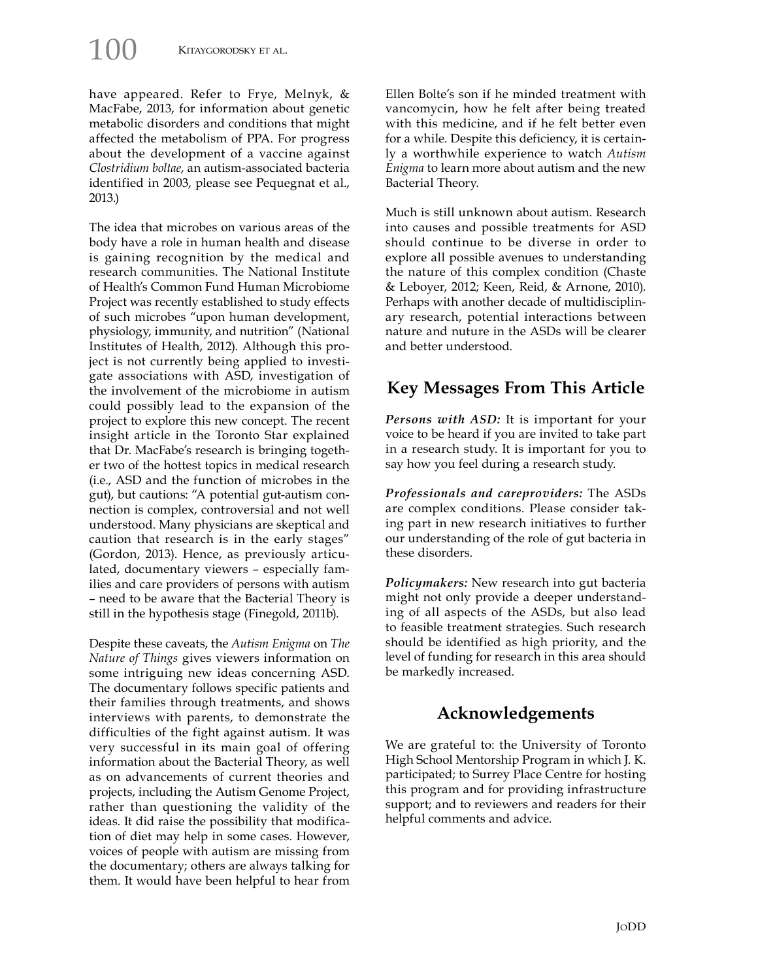have appeared. Refer to Frye, Melnyk, &

MacFabe, 2013, for information about genetic metabolic disorders and conditions that might affected the metabolism of PPA. For progress about the development of a vaccine against *Clostridium boltae*, an autism-associated bacteria identified in 2003, please see Pequegnat et al., 2013.)

The idea that microbes on various areas of the body have a role in human health and disease is gaining recognition by the medical and research communities. The National Institute of Health's Common Fund Human Microbiome Project was recently established to study effects of such microbes "upon human development, physiology, immunity, and nutrition" (National Institutes of Health, 2012). Although this project is not currently being applied to investigate associations with ASD, investigation of the involvement of the microbiome in autism could possibly lead to the expansion of the project to explore this new concept. The recent insight article in the Toronto Star explained that Dr. MacFabe's research is bringing together two of the hottest topics in medical research (i.e., ASD and the function of microbes in the gut), but cautions: "A potential gut-autism connection is complex, controversial and not well understood. Many physicians are skeptical and caution that research is in the early stages" (Gordon, 2013). Hence, as previously articulated, documentary viewers – especially families and care providers of persons with autism – need to be aware that the Bacterial Theory is still in the hypothesis stage (Finegold, 2011b).

Despite these caveats, the *Autism Enigma* on *The Nature of Things* gives viewers information on some intriguing new ideas concerning ASD. The documentary follows specific patients and their families through treatments, and shows interviews with parents, to demonstrate the difficulties of the fight against autism. It was very successful in its main goal of offering information about the Bacterial Theory, as well as on advancements of current theories and projects, including the Autism Genome Project, rather than questioning the validity of the ideas. It did raise the possibility that modification of diet may help in some cases. However, voices of people with autism are missing from the documentary; others are always talking for them. It would have been helpful to hear from Ellen Bolte's son if he minded treatment with vancomycin, how he felt after being treated with this medicine, and if he felt better even for a while. Despite this deficiency, it is certainly a worthwhile experience to watch *Autism Enigma* to learn more about autism and the new Bacterial Theory.

Much is still unknown about autism. Research into causes and possible treatments for ASD should continue to be diverse in order to explore all possible avenues to understanding the nature of this complex condition (Chaste & Leboyer, 2012; Keen, Reid, & Arnone, 2010). Perhaps with another decade of multidisciplinary research, potential interactions between nature and nuture in the ASDs will be clearer and better understood.

# **Key Messages From This Article**

*Persons with ASD:* It is important for your voice to be heard if you are invited to take part in a research study. It is important for you to say how you feel during a research study.

*Professionals and careproviders:* The ASDs are complex conditions. Please consider taking part in new research initiatives to further our understanding of the role of gut bacteria in these disorders.

*Policymakers:* New research into gut bacteria might not only provide a deeper understanding of all aspects of the ASDs, but also lead to feasible treatment strategies. Such research should be identified as high priority, and the level of funding for research in this area should be markedly increased.

# **Acknowledgements**

We are grateful to: the University of Toronto High School Mentorship Program in which J. K. participated; to Surrey Place Centre for hosting this program and for providing infrastructure support; and to reviewers and readers for their helpful comments and advice.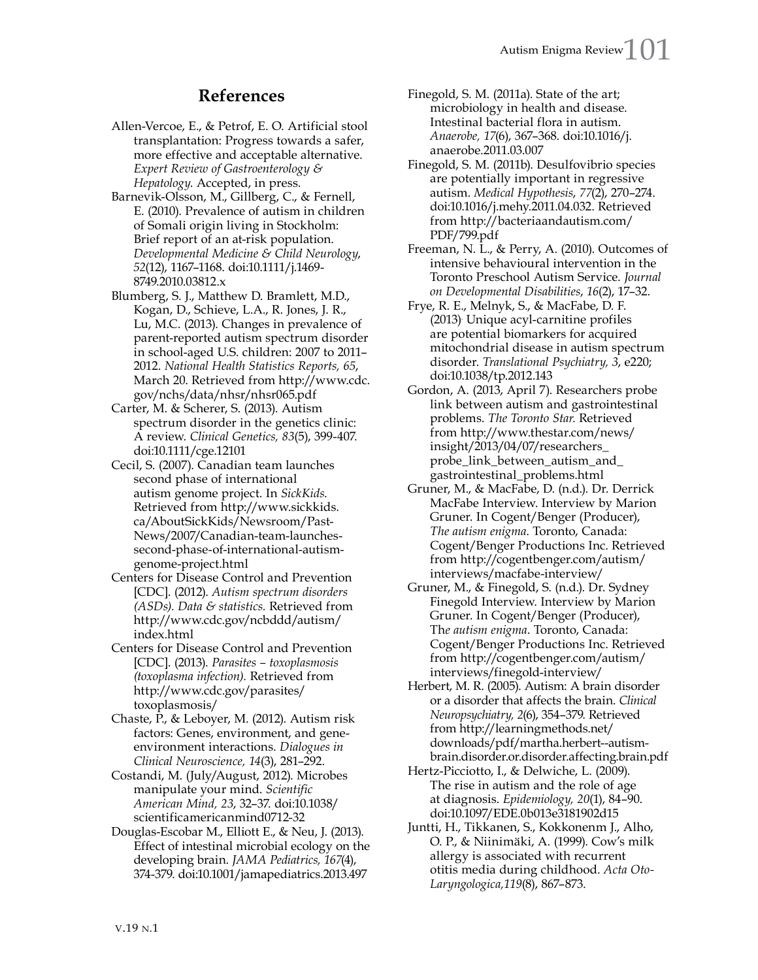## **References**

- Allen-Vercoe, E., & Petrof, E. O. Artificial stool transplantation: Progress towards a safer, more effective and acceptable alternative. *Expert Review of Gastroenterology & Hepatology*. Accepted, in press.
- Barnevik-Olsson, M., Gillberg, C., & Fernell, E. (2010). Prevalence of autism in children of Somali origin living in Stockholm: Brief report of an at-risk population. *Developmental Medicine & Child Neurology*, *52*(12), 1167–1168. doi:10.1111/j.1469- 8749.2010.03812.x
- Blumberg, S. J., Matthew D. Bramlett, M.D., Kogan, D., Schieve, L.A., R. Jones, J. R., Lu, M.C. (2013). Changes in prevalence of parent-reported autism spectrum disorder in school-aged U.S. children: 2007 to 2011– 2012. *National Health Statistics Reports, 65*, March 20. Retrieved from http://www.cdc. gov/nchs/data/nhsr/nhsr065.pdf
- Carter, M. & Scherer, S. (2013). Autism spectrum disorder in the genetics clinic: A review. *Clinical Genetics, 83*(5), 399-407. doi:10.1111/cge.12101
- Cecil, S. (2007). Canadian team launches second phase of international autism genome project. In *SickKids*. Retrieved from http://www.sickkids. ca/AboutSickKids/Newsroom/Past-News/2007/Canadian-team-launchessecond-phase-of-international-autismgenome-project.html
- Centers for Disease Control and Prevention [CDC]. (2012). *Autism spectrum disorders (ASDs). Data & statistics.* Retrieved from http://www.cdc.gov/ncbddd/autism/ index.html
- Centers for Disease Control and Prevention [CDC]. (2013). *Parasites – toxoplasmosis (toxoplasma infection).* Retrieved from http://www.cdc.gov/parasites/ toxoplasmosis/
- Chaste, P., & Leboyer, M. (2012). Autism risk factors: Genes, environment, and geneenvironment interactions. *Dialogues in Clinical Neuroscience, 14*(3), 281–292.
- Costandi, M. (July/August, 2012). Microbes manipulate your mind. *Scientific American Mind, 23*, 32–37. doi:10.1038/ scientificamericanmind0712-32
- Douglas-Escobar M., Elliott E., & Neu, J. (2013). Effect of intestinal microbial ecology on the developing brain. *JAMA Pediatrics, 167*(4), 374-379. doi:10.1001/jamapediatrics.2013.497
- Finegold, S. M. (2011a). State of the art; microbiology in health and disease. Intestinal bacterial flora in autism. *Anaerobe, 17*(6), 367–368. doi:10.1016/j. anaerobe.2011.03.007
- Finegold, S. M. (2011b). Desulfovibrio species are potentially important in regressive autism. *Medical Hypothesis*, *77*(2), 270–274. doi:10.1016/j.mehy.2011.04.032. Retrieved from http://bacteriaandautism.com/ PDF/799.pdf
- Freeman, N. L., & Perry, A. (2010). Outcomes of intensive behavioural intervention in the Toronto Preschool Autism Service. *Journal on Developmental Disabilities*, *16*(2), 17–32.
- Frye, R. E., Melnyk, S., & MacFabe, D. F. (2013). Unique acyl-carnitine profiles are potential biomarkers for acquired mitochondrial disease in autism spectrum disorder. *Translational Psychiatry, 3*, e220; doi:10.1038/tp.2012.143
- Gordon, A. (2013, April 7). Researchers probe link between autism and gastrointestinal problems. *The Toronto Star*. Retrieved from http://www.thestar.com/news/ insight/2013/04/07/researchers\_ probe\_link\_between\_autism\_and\_ gastrointestinal\_problems.html
- Gruner, M., & MacFabe, D. (n.d.). Dr. Derrick MacFabe Interview. Interview by Marion Gruner. In Cogent/Benger (Producer), *The autism enigma*. Toronto, Canada: Cogent/Benger Productions Inc. Retrieved from http://cogentbenger.com/autism/ interviews/macfabe-interview/
- Gruner, M., & Finegold, S. (n.d.). Dr. Sydney Finegold Interview. Interview by Marion Gruner. In Cogent/Benger (Producer), Th*e autism enigma*. Toronto, Canada: Cogent/Benger Productions Inc. Retrieved from http://cogentbenger.com/autism/ interviews/finegold-interview/
- Herbert, M. R. (2005). Autism: A brain disorder or a disorder that affects the brain. *Clinical Neuropsychiatry, 2*(6), 354–379. Retrieved from http://learningmethods.net/ downloads/pdf/martha.herbert--autismbrain.disorder.or.disorder.affecting.brain.pdf
- Hertz-Picciotto, I., & Delwiche, L. (2009). The rise in autism and the role of age at diagnosis. *Epidemiology, 20*(1), 84–90. doi:10.1097/EDE.0b013e3181902d15
- Juntti, H., Tikkanen, S., Kokkonenm J., Alho, O. P., & Niinimäki, A. (1999). Cow's milk allergy is associated with recurrent otitis media during childhood. *Acta Oto-Laryngologica,119*(8), 867–873.